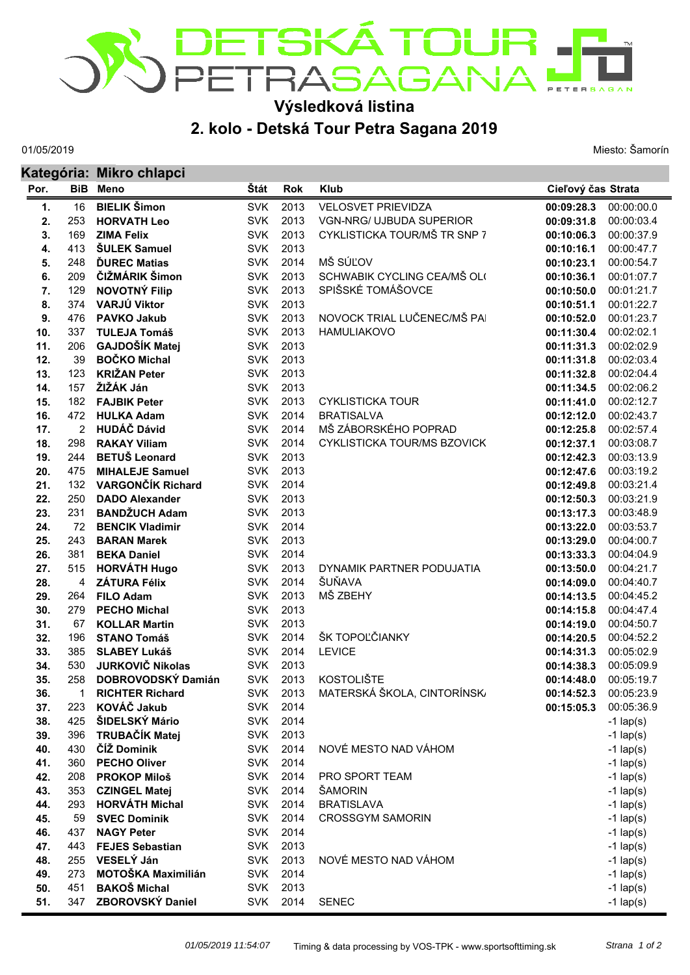

## **Výsledková listina**

## **2. kolo - Detská Tour Petra Sagana 2019**

01/05/2019

Miesto: Šamorín

|      |                | Kategória: Mikro chlapci  |            |            |                              |                    |             |  |  |  |
|------|----------------|---------------------------|------------|------------|------------------------------|--------------------|-------------|--|--|--|
| Por. | <b>BiB</b>     | Meno                      | Štát       | <b>Rok</b> | <b>Klub</b>                  | Cieľový čas Strata |             |  |  |  |
| 1.   | 16             | <b>BIELIK Šimon</b>       | <b>SVK</b> | 2013       | <b>VELOSVET PRIEVIDZA</b>    | 00:09:28.3         | 00:00:00.0  |  |  |  |
| 2.   | 253            | <b>HORVATH Leo</b>        | <b>SVK</b> | 2013       | VGN-NRG/ UJBUDA SUPERIOR     | 00:09:31.8         | 00:00:03.4  |  |  |  |
| 3.   | 169            | <b>ZIMA Felix</b>         | <b>SVK</b> | 2013       | CYKLISTICKA TOUR/MŠ TR SNP 7 | 00:10:06.3         | 00:00:37.9  |  |  |  |
| 4.   | 413            | <b>SULEK Samuel</b>       | <b>SVK</b> | 2013       |                              | 00:10:16.1         | 00:00:47.7  |  |  |  |
| 5.   | 248            | <b>DUREC Matias</b>       | <b>SVK</b> | 2014       | MŠ SÚĽOV                     | 00:10:23.1         | 00:00:54.7  |  |  |  |
| 6.   | 209            | ČIŽMÁRIK Šimon            | <b>SVK</b> | 2013       | SCHWABIK CYCLING CEA/MŠ OL(  | 00:10:36.1         | 00:01:07.7  |  |  |  |
| 7.   | 129            | <b>NOVOTNÝ Filip</b>      | <b>SVK</b> | 2013       | SPIŠSKÉ TOMÁŠOVCE            | 00:10:50.0         | 00:01:21.7  |  |  |  |
| 8.   | 374            | VARJÚ Viktor              | <b>SVK</b> | 2013       |                              | 00:10:51.1         | 00:01:22.7  |  |  |  |
| 9.   | 476            | <b>PAVKO Jakub</b>        | <b>SVK</b> | 2013       | NOVOCK TRIAL LUČENEC/MŠ PAI  | 00:10:52.0         | 00:01:23.7  |  |  |  |
| 10.  | 337            | <b>TULEJA Tomáš</b>       | <b>SVK</b> | 2013       | <b>HAMULIAKOVO</b>           | 00:11:30.4         | 00:02:02.1  |  |  |  |
| 11.  | 206            | GAJDOŠÍK Matej            | <b>SVK</b> | 2013       |                              | 00:11:31.3         | 00:02:02.9  |  |  |  |
| 12.  | 39             | <b>BOČKO Michal</b>       | <b>SVK</b> | 2013       |                              | 00:11:31.8         | 00:02:03.4  |  |  |  |
| 13.  | 123            | <b>KRIŽAN Peter</b>       | <b>SVK</b> | 2013       |                              | 00:11:32.8         | 00:02:04.4  |  |  |  |
| 14.  | 157            | ŽIŽÁK Ján                 | <b>SVK</b> | 2013       |                              | 00:11:34.5         | 00:02:06.2  |  |  |  |
| 15.  | 182            | <b>FAJBIK Peter</b>       | <b>SVK</b> | 2013       | <b>CYKLISTICKA TOUR</b>      | 00:11:41.0         | 00:02:12.7  |  |  |  |
| 16.  | 472            | <b>HULKA Adam</b>         | <b>SVK</b> | 2014       | <b>BRATISALVA</b>            | 00:12:12.0         | 00:02:43.7  |  |  |  |
| 17.  | $\overline{2}$ | <b>HUDÁČ Dávid</b>        | <b>SVK</b> | 2014       | MŠ ZÁBORSKÉHO POPRAD         | 00:12:25.8         | 00:02:57.4  |  |  |  |
| 18.  | 298            | <b>RAKAY Viliam</b>       | <b>SVK</b> | 2014       | CYKLISTICKA TOUR/MS BZOVICK  | 00:12:37.1         | 00:03:08.7  |  |  |  |
| 19.  | 244            | <b>BETUŠ Leonard</b>      | <b>SVK</b> | 2013       |                              | 00:12:42.3         | 00:03:13.9  |  |  |  |
| 20.  | 475            | <b>MIHALEJE Samuel</b>    | <b>SVK</b> | 2013       |                              | 00:12:47.6         | 00:03:19.2  |  |  |  |
| 21.  | 132            | VARGONČÍK Richard         | <b>SVK</b> | 2014       |                              | 00:12:49.8         | 00:03:21.4  |  |  |  |
| 22.  | 250            | <b>DADO Alexander</b>     | <b>SVK</b> | 2013       |                              | 00:12:50.3         | 00:03:21.9  |  |  |  |
| 23.  | 231            | <b>BANDŽUCH Adam</b>      | <b>SVK</b> | 2013       |                              | 00:13:17.3         | 00:03:48.9  |  |  |  |
| 24.  | 72             | <b>BENCIK Vladimir</b>    | <b>SVK</b> | 2014       |                              | 00:13:22.0         | 00:03:53.7  |  |  |  |
| 25.  | 243            | <b>BARAN Marek</b>        | <b>SVK</b> | 2013       |                              | 00:13:29.0         | 00:04:00.7  |  |  |  |
| 26.  | 381            | <b>BEKA Daniel</b>        | <b>SVK</b> | 2014       |                              | 00:13:33.3         | 00:04:04.9  |  |  |  |
| 27.  | 515            | <b>HORVÁTH Hugo</b>       | <b>SVK</b> | 2013       | DYNAMIK PARTNER PODUJATIA    | 00:13:50.0         | 00:04:21.7  |  |  |  |
| 28.  | 4              | <b>ZÁTURA Félix</b>       | <b>SVK</b> | 2014       | ŠUŇAVA                       | 00:14:09.0         | 00:04:40.7  |  |  |  |
| 29.  | 264            | <b>FILO Adam</b>          | <b>SVK</b> | 2013       | MŠ ZBEHY                     | 00:14:13.5         | 00:04:45.2  |  |  |  |
| 30.  | 279            | <b>PECHO Michal</b>       | <b>SVK</b> | 2013       |                              | 00:14:15.8         | 00:04:47.4  |  |  |  |
| 31.  | 67             | <b>KOLLAR Martin</b>      | <b>SVK</b> | 2013       |                              | 00:14:19.0         | 00:04:50.7  |  |  |  |
| 32.  | 196            | <b>STANO Tomáš</b>        | <b>SVK</b> | 2014       | ŠK TOPOĽČIANKY               | 00:14:20.5         | 00:04:52.2  |  |  |  |
| 33.  | 385            | <b>SLABEY Lukáš</b>       | <b>SVK</b> | 2014       | <b>LEVICE</b>                | 00:14:31.3         | 00:05:02.9  |  |  |  |
| 34.  | 530            | <b>JURKOVIČ Nikolas</b>   | <b>SVK</b> | 2013       |                              | 00:14:38.3         | 00:05:09.9  |  |  |  |
| 35.  | 258            | DOBROVODSKÝ Damián        |            | SVK 2013   | <b>KOSTOLIŠTE</b>            | 00:14:48.0         | 00:05:19.7  |  |  |  |
| 36.  |                | <b>RICHTER Richard</b>    | <b>SVK</b> | 2013       | MATERSKÁ ŠKOLA, CINTORÍNSK   | 00:14:52.3         | 00:05:23.9  |  |  |  |
| 37.  | 223            | KOVÁČ Jakub               | <b>SVK</b> | 2014       |                              | 00:15:05.3         | 00:05:36.9  |  |  |  |
| 38.  | 425            | ŠIDELSKÝ Mário            | <b>SVK</b> | 2014       |                              |                    | $-1$ lap(s) |  |  |  |
| 39.  | 396            | TRUBAČÍK Matej            | <b>SVK</b> | 2013       |                              |                    | $-1$ lap(s) |  |  |  |
| 40.  | 430            | ČÍŽ Dominik               | <b>SVK</b> | 2014       | NOVÉ MESTO NAD VÁHOM         |                    | $-1$ lap(s) |  |  |  |
| 41.  | 360            | <b>PECHO Oliver</b>       | <b>SVK</b> | 2014       |                              |                    | $-1$ lap(s) |  |  |  |
| 42.  | 208            | <b>PROKOP Miloš</b>       | <b>SVK</b> | 2014       | PRO SPORT TEAM               |                    | $-1$ lap(s) |  |  |  |
| 43.  | 353            | <b>CZINGEL Matej</b>      | <b>SVK</b> | 2014       | ŠAMORIN                      |                    | $-1$ lap(s) |  |  |  |
| 44.  | 293            | <b>HORVÁTH Michal</b>     | <b>SVK</b> | 2014       | <b>BRATISLAVA</b>            |                    | $-1$ lap(s) |  |  |  |
| 45.  | 59             | <b>SVEC Dominik</b>       | <b>SVK</b> | 2014       | <b>CROSSGYM SAMORIN</b>      |                    | $-1$ lap(s) |  |  |  |
| 46.  | 437            | <b>NAGY Peter</b>         | <b>SVK</b> | 2014       |                              |                    | $-1$ lap(s) |  |  |  |
| 47.  | 443            | <b>FEJES Sebastian</b>    | <b>SVK</b> | 2013       |                              |                    | $-1$ lap(s) |  |  |  |
| 48.  | 255            | VESELÝ Ján                | <b>SVK</b> | 2013       | NOVÉ MESTO NAD VÁHOM         |                    | $-1$ lap(s) |  |  |  |
| 49.  | 273            | <b>MOTOŠKA Maximilián</b> | <b>SVK</b> | 2014       |                              |                    | $-1$ lap(s) |  |  |  |
| 50.  | 451            | <b>BAKOŠ Michal</b>       | <b>SVK</b> | 2013       |                              |                    | $-1$ lap(s) |  |  |  |
| 51.  | 347            | ZBOROVSKÝ Daniel          | <b>SVK</b> | 2014       | <b>SENEC</b>                 |                    | $-1$ lap(s) |  |  |  |